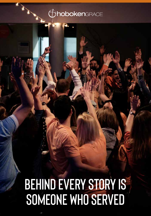### **Choboken**GRACE

# **BEHIND EVERY STORY IS SOMEONE WHO SERVED**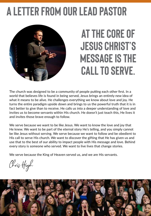### **A LETTER FROM OUR LEAD PASTOR**



### **At the core of Jesus Christ's message is the call to serve.**

The church was designed to be a community of people putting each other first. In a world that believes life is found in being served, Jesus brings an entirely new idea of what it means to be alive. He challenges everything we know about love and joy. He turns the entire paradigm upside down and brings to us the powerful truth that it is in fact better to give than to receive. He calls us into a deeper understanding of love and invites us to become servants within His church. He doesn't just teach this, He lives it and invites those brave enough to follow.

We serve because we want to be like Jesus. We want to know the love and joy that He knew. We want to be part of the eternal story He's telling, and you simply cannot be like Jesus without serving. We serve because we want to follow and be obedient to His call to serve His church. We want to discover the gifting that He has given us and use that to the best of our ability to impact people with His message and love. Behind every story is someone who served. We want to live lives that change stories.

We serve because the King of Heaven served us, and we are His servants.

Chris High

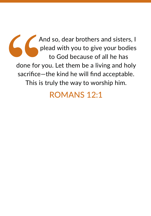And so, dear brothers and sisters, I And so, dear brothers and sisters, I plead with you to give your bodies to God because of all he has done for you. Let them be a living and holy sacrifice—the kind he will find acceptable. This is truly the way to worship him.

### ROMANS 12:1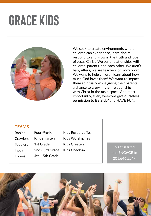### **grace kids**



We seek to create environments where children can experience, learn about, respond to and grow in the truth and love of Jesus Christ. We build relationships with children, parents, and each other. We aren't babysitters, we are teachers of God's word. We want to help children learn about how much God loves them! We want to impact them spiritually while giving their parents a chance to grow in their relationship with Christ in the main space. And most importantly, every week we give ourselves permission to BE SILLY and HAVE FUN!

#### **TEAMS**

Babies **Crawlers Toddlers** Twos Threes Four-Pre-K Kindergarten 1st Grade 2nd - 3rd Grade 4th - 5th Grade

Kids Resource Team Kids Worship Team Kids Greeters Kids Check-in To get started,

text **ENGAGE** to 201.646.5547

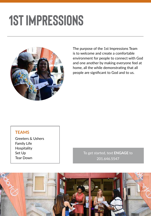# **1st impressions**



The purpose of the 1st Impressions Team is to welcome and create a comfortable environment for people to connect with God and one another by making everyone feel at home, all the while demonstrating that all people are significant to God and to us.

#### **TEAMS**

Greeters & Ushers Family Life Hospitality Set Up Tear Down

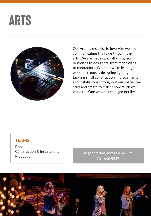### **arts**



Our Arts teams exist to love Him well by communicating His value through the arts. We are made up of all kinds, from musicians to designers, from technicians to contractors. Whether we're leading the worship in music, designing lighting or tackling small construction improvements and installations throughout our spaces, we craft and create to reflect how much we value the One who has changed our lives.

#### **TEAMS**

Band Construction & Installations

**Construction & Installations<br>Production** 201.646.5547

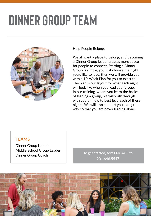# **dinner group TEAM**



Help People Belong.

We all want a place to belong, and becoming a Dinner Group leader creates more space for people to connect. Starting a Dinner Group is simple, you just choose the night you'd like to lead, then we will provide you with a 10-Week Plan for you to execute. The plan is our layout for what each night will look like when you lead your group. In our training, where you learn the basics of leading a group, we will walk through with you on how to best lead each of these nights. We will also support you along the way so that you are never leading alone.

#### **TEAMS**

Dinner Group Leader Middle School Group Leader Dinner Group Coach

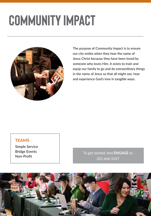# **Community impact**



The purpose of Community Impact is to ensure our city smiles when they hear the name of Jesus Christ because they have been loved by someone who loves Him. It exists to train and equip our family to go and do extraordinary things in the name of Jesus so that all might see, hear and experience God's love in tangible ways.

#### **TEAMS**

Simple Service Bridge Events Non-Profit

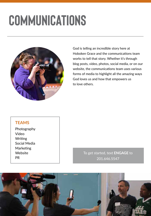### **COMMUNICATIONS**



God is telling an incredible story here at Hoboken Grace and the communications team works to tell that story. Whether it's through blog posts, video, photos, social media, or on our website, the communications team uses various forms of media to highlight all the amazing ways God loves us and how that empowers us to love others.

#### **TEAMS**

Photography Video **Writing** Social Media Marketing **Website** PR

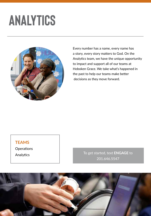### **analytics**



Every number has a name, every name has a story, every story matters to God. On the Analytics team, we have the unique opportunity to impact and support all of our teams at Hoboken Grace. We take what's happened in the past to help our teams make better decisions as they move forward.

#### **TEAMS**

**Operations** 

Analytics **To get started, text ENGAGE to** 201.646.5547

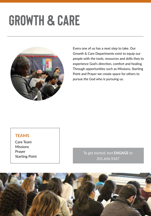# **GROWTH & Care**



Every one of us has a next step to take. Our Growth & Care Departments exist to equip our people with the tools, resources and skills they to experience God's direction, comfort and healing. Through opportunities such as Missions, Starting Point and Prayer we create space for others to pursue the God who is pursuing us.

#### **TEAMS**

Care Team **Missions** Prayer Starting Point

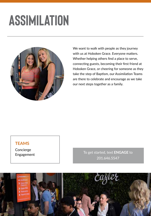### **ASSIMILATION**



We want to walk with people as they journey with us at Hoboken Grace. Everyone matters. Whether helping others find a place to serve, connecting guests, becoming their first friend at Hoboken Grace, or cheering for someone as they take the step of Baptism, our Assimilation Teams are there to celebrate and encourage as we take our next steps together as a family.

#### **TEAMS**

Concierge

Engagement To get started, text **ENGAGE** to 201.646.5547